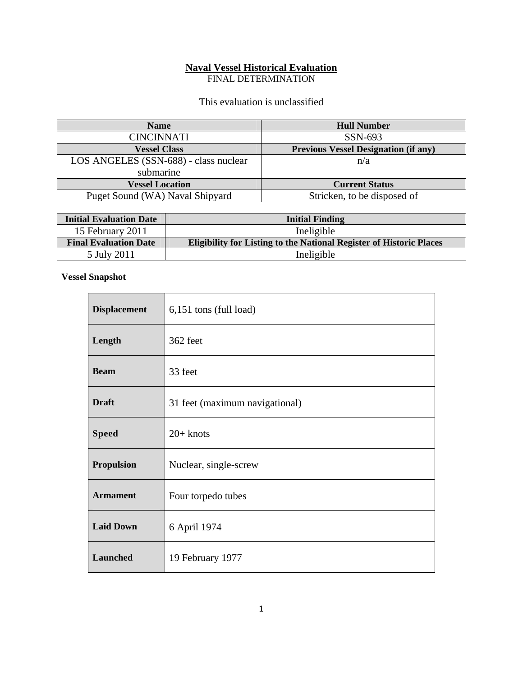# **Naval Vessel Historical Evaluation**

FINAL DETERMINATION

This evaluation is unclassified

| <b>Name</b>                           | <b>Hull Number</b>                          |
|---------------------------------------|---------------------------------------------|
| <b>CINCINNATI</b>                     | $SSN-693$                                   |
| <b>Vessel Class</b>                   | <b>Previous Vessel Designation (if any)</b> |
| LOS ANGELES (SSN-688) - class nuclear | n/a                                         |
| submarine                             |                                             |
| <b>Vessel Location</b>                | <b>Current Status</b>                       |
| Puget Sound (WA) Naval Shipyard       | Stricken, to be disposed of                 |

| <b>Initial Evaluation Date</b> | <b>Initial Finding</b>                                                     |  |
|--------------------------------|----------------------------------------------------------------------------|--|
| 15 February 2011               | Ineligible                                                                 |  |
| <b>Final Evaluation Date</b>   | <b>Eligibility for Listing to the National Register of Historic Places</b> |  |
| 5 July 2011                    | Ineligible                                                                 |  |

## **Vessel Snapshot**

| <b>Displacement</b> | 6,151 tons (full load)         |
|---------------------|--------------------------------|
| Length              | 362 feet                       |
| <b>Beam</b>         | 33 feet                        |
| <b>Draft</b>        | 31 feet (maximum navigational) |
| <b>Speed</b>        | $20+$ knots                    |
| <b>Propulsion</b>   | Nuclear, single-screw          |
| <b>Armament</b>     | Four torpedo tubes             |
| <b>Laid Down</b>    | 6 April 1974                   |
| Launched            | 19 February 1977               |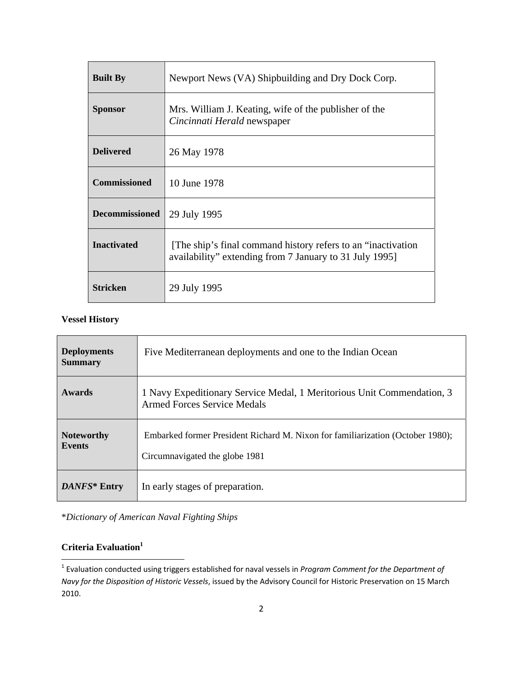| <b>Built By</b>       | Newport News (VA) Shipbuilding and Dry Dock Corp.                                                                         |
|-----------------------|---------------------------------------------------------------------------------------------------------------------------|
| <b>Sponsor</b>        | Mrs. William J. Keating, wife of the publisher of the<br>Cincinnati Herald newspaper                                      |
| <b>Delivered</b>      | 26 May 1978                                                                                                               |
| <b>Commissioned</b>   | 10 June 1978                                                                                                              |
| <b>Decommissioned</b> | 29 July 1995                                                                                                              |
| <b>Inactivated</b>    | [The ship's final command history refers to an "inactivation"]<br>availability" extending from 7 January to 31 July 1995] |
| <b>Stricken</b>       | 29 July 1995                                                                                                              |

### **Vessel History**

| <b>Deployments</b><br><b>Summary</b> | Five Mediterranean deployments and one to the Indian Ocean                                                       |
|--------------------------------------|------------------------------------------------------------------------------------------------------------------|
| <b>Awards</b>                        | 1 Navy Expeditionary Service Medal, 1 Meritorious Unit Commendation, 3<br><b>Armed Forces Service Medals</b>     |
| <b>Noteworthy</b><br><b>Events</b>   | Embarked former President Richard M. Nixon for familiarization (October 1980);<br>Circumnavigated the globe 1981 |
| DANFS* Entry                         | In early stages of preparation.                                                                                  |

\**Dictionary of American Naval Fighting Ships*

# **Criteria Evaluation**<sup>1</sup>

<sup>1</sup> Evaluation conducted using triggers established for naval vessels in *Program Comment for the Department of Navy for the Disposition of Historic Vessels*, issued by the Advisory Council for Historic Preservation on 15 March 2010.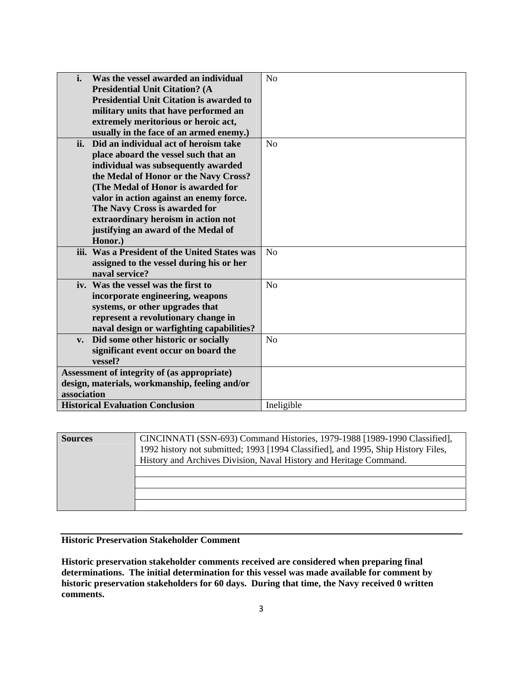| i.<br>Was the vessel awarded an individual      | N <sub>o</sub> |
|-------------------------------------------------|----------------|
| <b>Presidential Unit Citation? (A</b>           |                |
| <b>Presidential Unit Citation is awarded to</b> |                |
| military units that have performed an           |                |
| extremely meritorious or heroic act,            |                |
| usually in the face of an armed enemy.)         |                |
| Did an individual act of heroism take<br>ii.    | N <sub>o</sub> |
| place aboard the vessel such that an            |                |
| individual was subsequently awarded             |                |
| the Medal of Honor or the Navy Cross?           |                |
| (The Medal of Honor is awarded for              |                |
| valor in action against an enemy force.         |                |
| The Navy Cross is awarded for                   |                |
| extraordinary heroism in action not             |                |
| justifying an award of the Medal of             |                |
| Honor.)                                         |                |
| iii. Was a President of the United States was   | No             |
| assigned to the vessel during his or her        |                |
| naval service?                                  |                |
| iv. Was the vessel was the first to             | N <sub>o</sub> |
| incorporate engineering, weapons                |                |
| systems, or other upgrades that                 |                |
| represent a revolutionary change in             |                |
| naval design or warfighting capabilities?       |                |
| v. Did some other historic or socially          | No             |
| significant event occur on board the            |                |
| vessel?                                         |                |
| Assessment of integrity of (as appropriate)     |                |
| design, materials, workmanship, feeling and/or  |                |
| association                                     |                |
| <b>Historical Evaluation Conclusion</b>         | Ineligible     |

| <b>Sources</b> | CINCINNATI (SSN-693) Command Histories, 1979-1988 [1989-1990 Classified],<br>1992 history not submitted; 1993 [1994 Classified], and 1995, Ship History Files,<br>History and Archives Division, Naval History and Heritage Command. |
|----------------|--------------------------------------------------------------------------------------------------------------------------------------------------------------------------------------------------------------------------------------|
|                |                                                                                                                                                                                                                                      |
|                |                                                                                                                                                                                                                                      |
|                |                                                                                                                                                                                                                                      |

#### **Historic Preservation Stakeholder Comment**

**Historic preservation stakeholder comments received are considered when preparing final determinations. The initial determination for this vessel was made available for comment by historic preservation stakeholders for 60 days. During that time, the Navy received 0 written comments.**